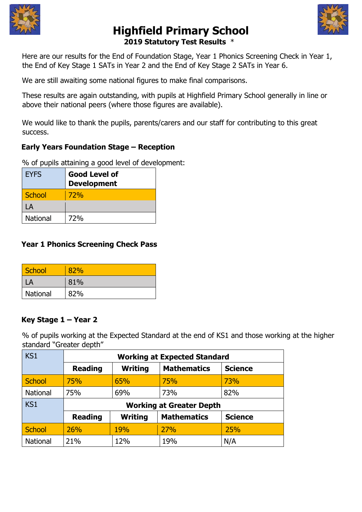



# **Highfield Primary School 2019 Statutory Test Results** \*

Here are our results for the End of Foundation Stage, Year 1 Phonics Screening Check in Year 1, the End of Key Stage 1 SATs in Year 2 and the End of Key Stage 2 SATs in Year 6.

We are still awaiting some national figures to make final comparisons.

These results are again outstanding, with pupils at Highfield Primary School generally in line or above their national peers (where those figures are available).

We would like to thank the pupils, parents/carers and our staff for contributing to this great success.

# **Early Years Foundation Stage – Reception**

% of pupils attaining a good level of development:

| <b>EYFS</b>     | <b>Good Level of</b><br><b>Development</b> |
|-----------------|--------------------------------------------|
| <b>School</b>   | 72%                                        |
| LA              |                                            |
| <b>National</b> | 72%                                        |

# **Year 1 Phonics Screening Check Pass**

| School   | ጸን% |
|----------|-----|
|          | 81% |
| National | 82% |

### **Key Stage 1 – Year 2**

% of pupils working at the Expected Standard at the end of KS1 and those working at the higher standard "Greater depth"

| KS <sub>1</sub> | <b>Working at Expected Standard</b> |                |                    |                |
|-----------------|-------------------------------------|----------------|--------------------|----------------|
|                 | <b>Reading</b>                      | <b>Writing</b> | <b>Mathematics</b> | <b>Science</b> |
| <b>School</b>   | 75%                                 | 65%            | 75%                | 73%            |
| National        | 75%                                 | 69%            | 73%                | 82%            |
| KS1             | <b>Working at Greater Depth</b>     |                |                    |                |
|                 | <b>Reading</b>                      | <b>Writing</b> | <b>Mathematics</b> | <b>Science</b> |
|                 |                                     |                |                    |                |
| <b>School</b>   | 26%                                 | 19%            | 27%                | 25%            |